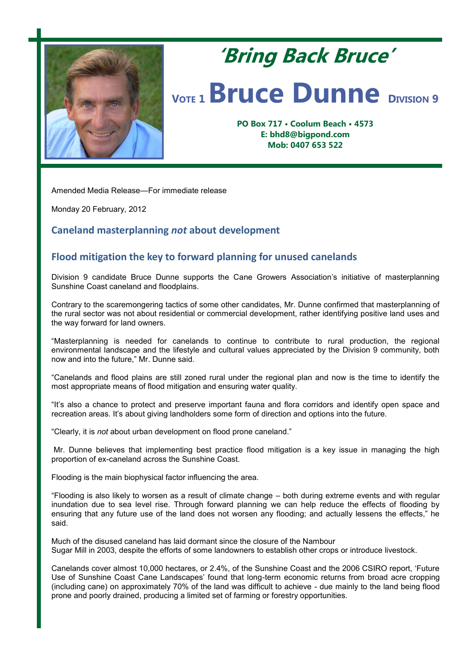

## **'Bring Back Bruce'** *VOTE* **1 <b>Bruce Dunne DIVISION** 9

**PO Box 717 • Coolum Beach • 4573 E: bhd8@bigpond.com Mob: 0407 653 522**

Amended Media Release—For immediate release

Monday 20 February, 2012

## **Caneland masterplanning** *not* **about development**

## **Flood mitigation the key to forward planning for unused canelands**

Division 9 candidate Bruce Dunne supports the Cane Growers Association's initiative of masterplanning Sunshine Coast caneland and floodplains.

Contrary to the scaremongering tactics of some other candidates, Mr. Dunne confirmed that masterplanning of the rural sector was not about residential or commercial development, rather identifying positive land uses and the way forward for land owners.

"Masterplanning is needed for canelands to continue to contribute to rural production, the regional environmental landscape and the lifestyle and cultural values appreciated by the Division 9 community, both now and into the future," Mr. Dunne said.

"Canelands and flood plains are still zoned rural under the regional plan and now is the time to identify the most appropriate means of flood mitigation and ensuring water quality.

"It's also a chance to protect and preserve important fauna and flora corridors and identify open space and recreation areas. It's about giving landholders some form of direction and options into the future.

"Clearly, it is *not* about urban development on flood prone caneland."

Mr. Dunne believes that implementing best practice flood mitigation is a key issue in managing the high proportion of ex-caneland across the Sunshine Coast.

Flooding is the main biophysical factor influencing the area.

"Flooding is also likely to worsen as a result of climate change – both during extreme events and with regular inundation due to sea level rise. Through forward planning we can help reduce the effects of flooding by ensuring that any future use of the land does not worsen any flooding; and actually lessens the effects," he said.

Much of the disused caneland has laid dormant since the closure of the Nambour Sugar Mill in 2003, despite the efforts of some landowners to establish other crops or introduce livestock.

Canelands cover almost 10,000 hectares, or 2.4%, of the Sunshine Coast and the 2006 CSIRO report, 'Future Use of Sunshine Coast Cane Landscapes' found that long-term economic returns from broad acre cropping (including cane) on approximately 70% of the land was difficult to achieve - due mainly to the land being flood prone and poorly drained, producing a limited set of farming or forestry opportunities.